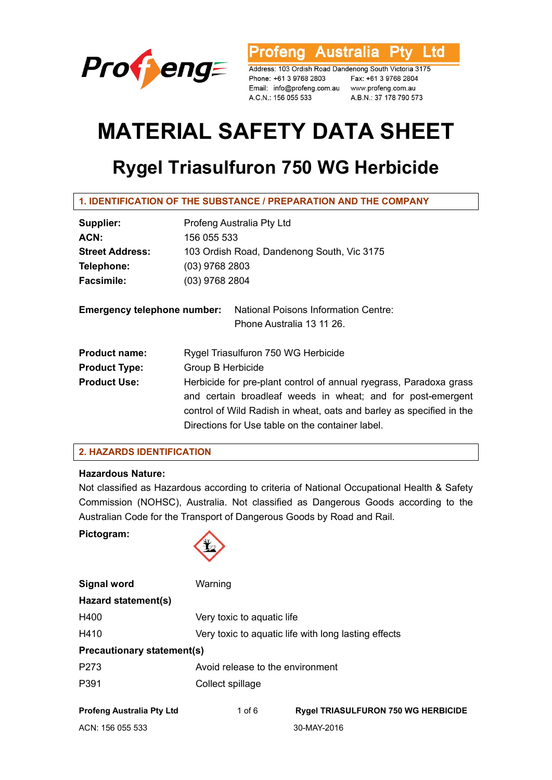

Profeng Australia **Ptv** l td

Address: 103 Ordish Road Dandenong South Victoria 3175 Phone: +61 3 9768 2803 Email: info@profeng.com.au www.profeng.com.au A.C.N.: 156 055 533

Fax: +61 3 9768 2804 A.B.N.: 37 178 790 573

# **MATERIAL SAFETY DATA SHEET**

# **Rygel Triasulfuron 750 WG Herbicide**

| Supplier:                          | Profeng Australia Pty Ltd                                            |  |  |
|------------------------------------|----------------------------------------------------------------------|--|--|
| ACN:                               | 156 055 533                                                          |  |  |
| <b>Street Address:</b>             | 103 Ordish Road, Dandenong South, Vic 3175                           |  |  |
| Telephone:                         | $(03)$ 9768 2803                                                     |  |  |
| <b>Facsimile:</b>                  | $(03)$ 9768 2804                                                     |  |  |
| <b>Emergency telephone number:</b> | <b>National Poisons Information Centre:</b>                          |  |  |
|                                    | Phone Australia 13 11 26.                                            |  |  |
| <b>Product name:</b>               | Rygel Triasulfuron 750 WG Herbicide                                  |  |  |
| <b>Product Type:</b>               | Group B Herbicide                                                    |  |  |
| <b>Product Use:</b>                | Herbicide for pre-plant control of annual ryegrass, Paradoxa grass   |  |  |
|                                    | and certain broadleaf weeds in wheat; and for post-emergent          |  |  |
|                                    | control of Wild Radish in wheat, oats and barley as specified in the |  |  |
|                                    | Directions for Use table on the container label.                     |  |  |

# **2. HAZARDS IDENTIFICATION**

# **Hazardous Nature:**

Not classified as Hazardous according to criteria of National Occupational Health & Safety Commission (NOHSC), Australia. Not classified as Dangerous Goods according to the Australian Code for the Transport of Dangerous Goods by Road and Rail.

**Pictogram:** 



| <b>Signal word</b>                | Warning                                              |                                            |  |
|-----------------------------------|------------------------------------------------------|--------------------------------------------|--|
| Hazard statement(s)               |                                                      |                                            |  |
| H400                              | Very toxic to aquatic life                           |                                            |  |
| H410                              | Very toxic to aquatic life with long lasting effects |                                            |  |
| <b>Precautionary statement(s)</b> |                                                      |                                            |  |
| P <sub>273</sub>                  | Avoid release to the environment                     |                                            |  |
| P391                              | Collect spillage                                     |                                            |  |
| <b>Profeng Australia Pty Ltd</b>  | 1 of $6$                                             | <b>Rygel TRIASULFURON 750 WG HERBICIDE</b> |  |
| ACN: 156 055 533                  |                                                      | 30-MAY-2016                                |  |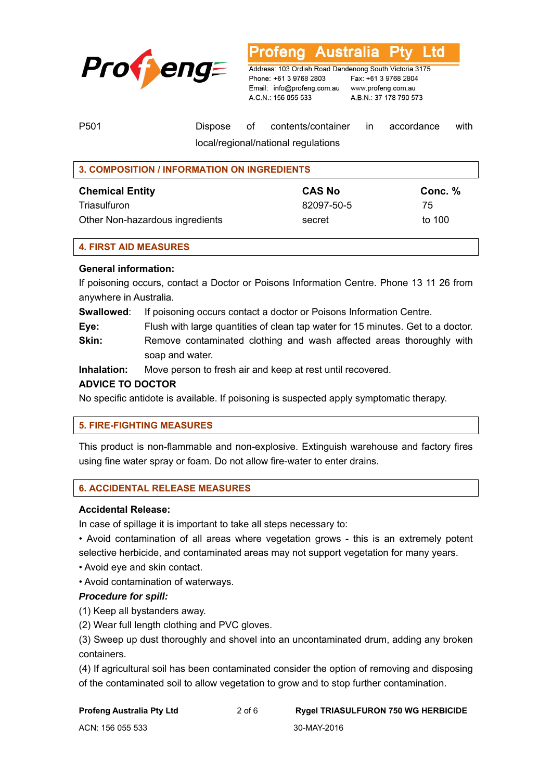

**Australia** L TO

Address: 103 Ordish Road Dandenong South Victoria 3175 Phone: +61 3 9768 2803 Email: info@profeng.com.au www.profeng.com.au A.C.N.: 156 055 533

Fax: +61 3 9768 2804 A.B.N.: 37 178 790 573

| P <sub>501</sub> |                                      |  | Dispose of contents/container in accordance with |  |  |  |
|------------------|--------------------------------------|--|--------------------------------------------------|--|--|--|
|                  | Incal/regional/national requisitions |  |                                                  |  |  |  |

cai/regionai/national regulations

| <b>3. COMPOSITION / INFORMATION ON INGREDIENTS</b> |               |         |
|----------------------------------------------------|---------------|---------|
| <b>Chemical Entity</b>                             | <b>CAS No</b> | Conc. % |
| Triasulfuron                                       | 82097-50-5    | 75      |
| Other Non-hazardous ingredients                    | secret        | to 100  |

# **4. FIRST AID MEASURES**

# **General information:**

If poisoning occurs, contact a Doctor or Poisons Information Centre. Phone 13 11 26 from anywhere in Australia.

**Swallowed**: If poisoning occurs contact a doctor or Poisons Information Centre.

**Eye:** Flush with large quantities of clean tap water for 15 minutes. Get to a doctor.

**Skin:** Remove contaminated clothing and wash affected areas thoroughly with soap and water.

**Inhalation:** Move person to fresh air and keep at rest until recovered.

# **ADVICE TO DOCTOR**

No specific antidote is available. If poisoning is suspected apply symptomatic therapy.

#### **5. FIRE-FIGHTING MEASURES**

This product is non-flammable and non-explosive. Extinguish warehouse and factory fires using fine water spray or foam. Do not allow fire-water to enter drains.

# **6. ACCIDENTAL RELEASE MEASURES**

#### **Accidental Release:**

In case of spillage it is important to take all steps necessary to:

• Avoid contamination of all areas where vegetation grows - this is an extremely potent selective herbicide, and contaminated areas may not support vegetation for many years.

- Avoid eye and skin contact.
- Avoid contamination of waterways.

# *Procedure for spill:*

(1) Keep all bystanders away.

(2) Wear full length clothing and PVC gloves.

(3) Sweep up dust thoroughly and shovel into an uncontaminated drum, adding any broken containers.

(4) If agricultural soil has been contaminated consider the option of removing and disposing of the contaminated soil to allow vegetation to grow and to stop further contamination.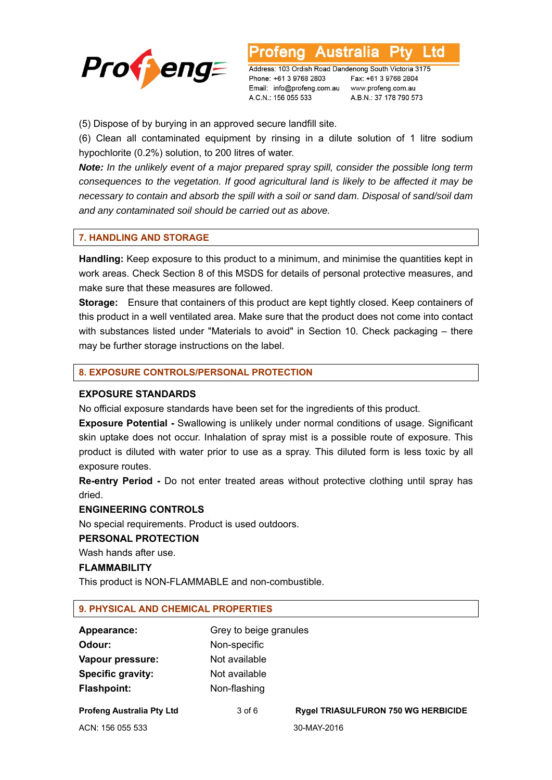

**Australia** L td

Address: 103 Ordish Road Dandenong South Victoria 3175 Phone: +61 3 9768 2803 Email: info@profeng.com.au www.profeng.com.au A.C.N.: 156 055 533

Fax: +61 3 9768 2804 A.B.N.: 37 178 790 573

(5) Dispose of by burying in an approved secure landfill site.

(6) Clean all contaminated equipment by rinsing in a dilute solution of 1 litre sodium hypochlorite (0.2%) solution, to 200 litres of water.

*Note: In the unlikely event of a major prepared spray spill, consider the possible long term consequences to the vegetation. If good agricultural land is likely to be affected it may be necessary to contain and absorb the spill with a soil or sand dam. Disposal of sand/soil dam and any contaminated soil should be carried out as above.* 

#### **7. HANDLING AND STORAGE**

**Handling:** Keep exposure to this product to a minimum, and minimise the quantities kept in work areas. Check Section 8 of this MSDS for details of personal protective measures, and make sure that these measures are followed.

**Storage:** Ensure that containers of this product are kept tightly closed. Keep containers of this product in a well ventilated area. Make sure that the product does not come into contact with substances listed under "Materials to avoid" in Section 10. Check packaging – there may be further storage instructions on the label.

#### **8. EXPOSURE CONTROLS/PERSONAL PROTECTION**

# **EXPOSURE STANDARDS**

No official exposure standards have been set for the ingredients of this product.

**Exposure Potential -** Swallowing is unlikely under normal conditions of usage. Significant skin uptake does not occur. Inhalation of spray mist is a possible route of exposure. This product is diluted with water prior to use as a spray. This diluted form is less toxic by all exposure routes.

**Re-entry Period -** Do not enter treated areas without protective clothing until spray has dried.

#### **ENGINEERING CONTROLS**

No special requirements. Product is used outdoors.

#### **PERSONAL PROTECTION**

Wash hands after use.

#### **FLAMMABILITY**

This product is NON-FLAMMABLE and non-combustible.

#### **9. PHYSICAL AND CHEMICAL PROPERTIES**

| Appearance:              | Grey to beige granules |
|--------------------------|------------------------|
| Odour:                   | Non-specific           |
| Vapour pressure:         | Not available          |
| <b>Specific gravity:</b> | Not available          |
| <b>Flashpoint:</b>       | Non-flashing           |

ACN: 156 055 533 30-MAY-2016

**Profeng Australia Pty Ltd** 3 of 6 **Rygel TRIASULFURON 750 WG HERBICIDE**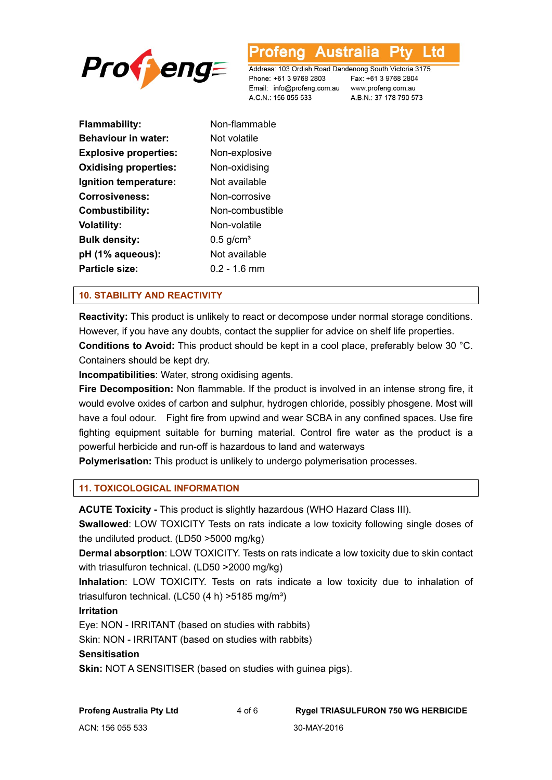

L TO

Address: 103 Ordish Road Dandenong South Victoria 3175 Phone: +61 3 9768 2803 Email: info@profeng.com.au www.profeng.com.au A.C.N.: 156 055 533

Fax: +61 3 9768 2804 A.B.N.: 37 178 790 573

| <b>Flammability:</b>         | Non-flammable           |
|------------------------------|-------------------------|
| <b>Behaviour in water:</b>   | Not volatile            |
| <b>Explosive properties:</b> | Non-explosive           |
| <b>Oxidising properties:</b> | Non-oxidising           |
| Ignition temperature:        | Not available           |
| Corrosiveness:               | Non-corrosive           |
| Combustibility:              | Non-combustible         |
| Volatility:                  | Non-volatile            |
| Bulk density:                | $0.5$ g/cm <sup>3</sup> |
| pH (1% aqueous):             | Not available           |
| Particle size:               | $0.2 - 1.6$ mm          |
|                              |                         |

#### **10. STABILITY AND REACTIVITY**

**Reactivity:** This product is unlikely to react or decompose under normal storage conditions. However, if you have any doubts, contact the supplier for advice on shelf life properties.

**Conditions to Avoid:** This product should be kept in a cool place, preferably below 30 °C. Containers should be kept dry.

**Incompatibilities**: Water, strong oxidising agents.

**Fire Decomposition:** Non flammable. If the product is involved in an intense strong fire, it would evolve oxides of carbon and sulphur, hydrogen chloride, possibly phosgene. Most will have a foul odour. Fight fire from upwind and wear SCBA in any confined spaces. Use fire fighting equipment suitable for burning material. Control fire water as the product is a powerful herbicide and run-off is hazardous to land and waterways

**Polymerisation:** This product is unlikely to undergo polymerisation processes.

# **11. TOXICOLOGICAL INFORMATION**

**ACUTE Toxicity -** This product is slightly hazardous (WHO Hazard Class III).

**Swallowed**: LOW TOXICITY Tests on rats indicate a low toxicity following single doses of the undiluted product. (LD50 >5000 mg/kg)

**Dermal absorption**: LOW TOXICITY. Tests on rats indicate a low toxicity due to skin contact with triasulfuron technical. (LD50 >2000 mg/kg)

**Inhalation**: LOW TOXICITY. Tests on rats indicate a low toxicity due to inhalation of triasulfuron technical. (LC50  $(4 h)$  >5185 mg/m<sup>3</sup>)

#### **Irritation**

Eye: NON - IRRITANT (based on studies with rabbits)

Skin: NON - IRRITANT (based on studies with rabbits)

#### **Sensitisation**

**Skin:** NOT A SENSITISER (based on studies with guinea pigs).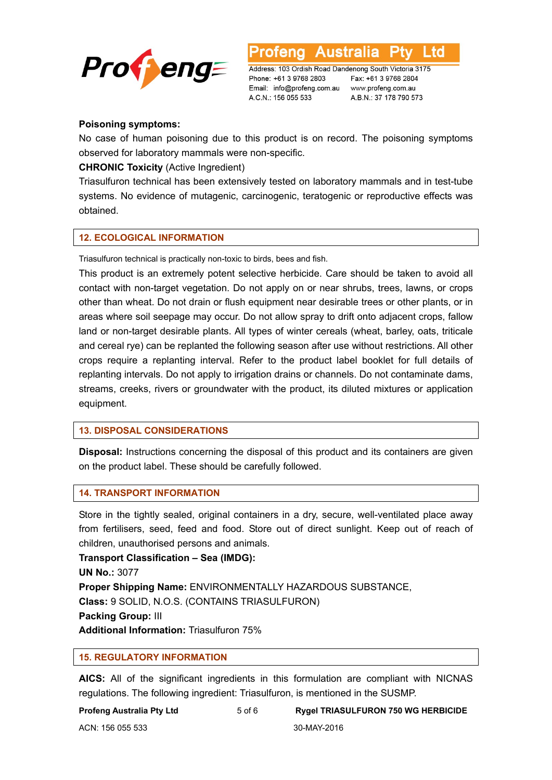

**Australia** L td rena

Address: 103 Ordish Road Dandenong South Victoria 3175 Phone: +61 3 9768 2803 Email: info@profeng.com.au www.profeng.com.au A.C.N.: 156 055 533

Fax: +61 3 9768 2804 A.B.N.: 37 178 790 573

# **Poisoning symptoms:**

No case of human poisoning due to this product is on record. The poisoning symptoms observed for laboratory mammals were non-specific.

# **CHRONIC Toxicity** (Active Ingredient)

Triasulfuron technical has been extensively tested on laboratory mammals and in test-tube systems. No evidence of mutagenic, carcinogenic, teratogenic or reproductive effects was obtained.

# **12. ECOLOGICAL INFORMATION**

Triasulfuron technical is practically non-toxic to birds, bees and fish.

This product is an extremely potent selective herbicide. Care should be taken to avoid all contact with non-target vegetation. Do not apply on or near shrubs, trees, lawns, or crops other than wheat. Do not drain or flush equipment near desirable trees or other plants, or in areas where soil seepage may occur. Do not allow spray to drift onto adjacent crops, fallow land or non-target desirable plants. All types of winter cereals (wheat, barley, oats, triticale and cereal rye) can be replanted the following season after use without restrictions. All other crops require a replanting interval. Refer to the product label booklet for full details of replanting intervals. Do not apply to irrigation drains or channels. Do not contaminate dams, streams, creeks, rivers or groundwater with the product, its diluted mixtures or application equipment.

# **13. DISPOSAL CONSIDERATIONS**

**Disposal:** Instructions concerning the disposal of this product and its containers are given on the product label. These should be carefully followed.

# **14. TRANSPORT INFORMATION**

Store in the tightly sealed, original containers in a dry, secure, well-ventilated place away from fertilisers, seed, feed and food. Store out of direct sunlight. Keep out of reach of children, unauthorised persons and animals.

**Transport Classification – Sea (IMDG): UN No.:** 3077 **Proper Shipping Name:** ENVIRONMENTALLY HAZARDOUS SUBSTANCE, **Class:** 9 SOLID, N.O.S. (CONTAINS TRIASULFURON) **Packing Group:** III **Additional Information:** Triasulfuron 75%

# **15. REGULATORY INFORMATION**

**AICS:** All of the significant ingredients in this formulation are compliant with NICNAS regulations. The following ingredient: Triasulfuron, is mentioned in the SUSMP.

**Profeng Australia Pty Ltd** 5 of 6 **Rygel TRIASULFURON 750 WG HERBICIDE**